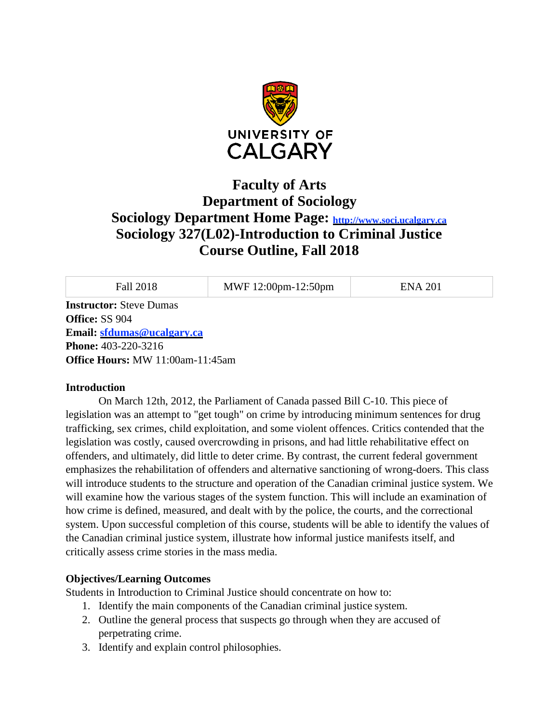

# **Faculty of Arts Department of Sociology Sociology Department Home Page: [http://www.soci.ucalgary.ca](http://www.soci.ucalgary.ca/) Sociology 327(L02)-Introduction to Criminal Justice Course Outline, Fall 2018**

Fall 2018 MWF 12:00pm-12:50pm ENA 201

**Instructor:** Steve Dumas **Office:** SS 904 **Email: [sfdumas@ucalgary.ca](mailto:sfdumas@ucalgary.ca) Phone:** 403-220-3216 **Office Hours:** MW 11:00am-11:45am

#### **Introduction**

On March 12th, 2012, the Parliament of Canada passed Bill C-10. This piece of legislation was an attempt to "get tough" on crime by introducing minimum sentences for drug trafficking, sex crimes, child exploitation, and some violent offences. Critics contended that the legislation was costly, caused overcrowding in prisons, and had little rehabilitative effect on offenders, and ultimately, did little to deter crime. By contrast, the current federal government emphasizes the rehabilitation of offenders and alternative sanctioning of wrong-doers. This class will introduce students to the structure and operation of the Canadian criminal justice system. We will examine how the various stages of the system function. This will include an examination of how crime is defined, measured, and dealt with by the police, the courts, and the correctional system. Upon successful completion of this course, students will be able to identify the values of the Canadian criminal justice system, illustrate how informal justice manifests itself, and critically assess crime stories in the mass media.

## **Objectives/Learning Outcomes**

Students in Introduction to Criminal Justice should concentrate on how to:

- 1. Identify the main components of the Canadian criminal justice system.
- 2. Outline the general process that suspects go through when they are accused of perpetrating crime.
- 3. Identify and explain control philosophies.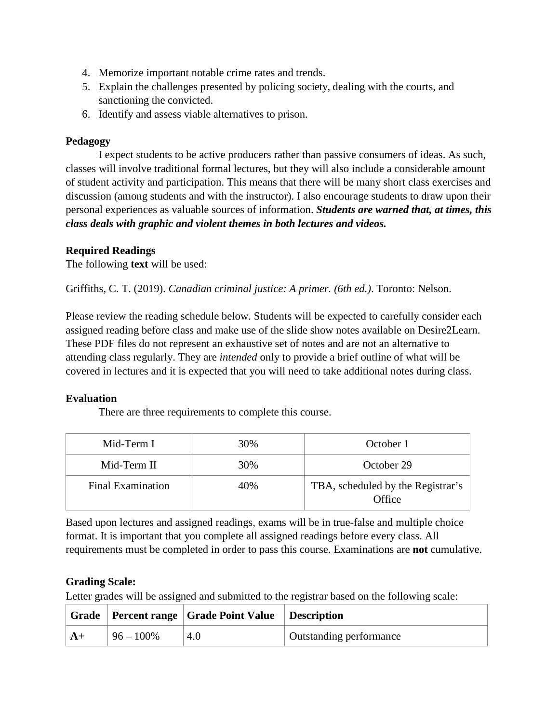- 4. Memorize important notable crime rates and trends.
- 5. Explain the challenges presented by policing society, dealing with the courts, and sanctioning the convicted.
- 6. Identify and assess viable alternatives to prison.

# **Pedagogy**

I expect students to be active producers rather than passive consumers of ideas. As such, classes will involve traditional formal lectures, but they will also include a considerable amount of student activity and participation. This means that there will be many short class exercises and discussion (among students and with the instructor). I also encourage students to draw upon their personal experiences as valuable sources of information. *Students are warned that, at times, this class deals with graphic and violent themes in both lectures and videos.*

# **Required Readings**

The following **text** will be used:

Griffiths, C. T. (2019). *Canadian criminal justice: A primer. (6th ed.)*. Toronto: Nelson.

Please review the reading schedule below. Students will be expected to carefully consider each assigned reading before class and make use of the slide show notes available on Desire2Learn. These PDF files do not represent an exhaustive set of notes and are not an alternative to attending class regularly. They are *intended* only to provide a brief outline of what will be covered in lectures and it is expected that you will need to take additional notes during class.

## **Evaluation**

There are three requirements to complete this course.

| Mid-Term I               | 30% | October 1                                   |
|--------------------------|-----|---------------------------------------------|
| Mid-Term II              | 30% | October 29                                  |
| <b>Final Examination</b> | 40% | TBA, scheduled by the Registrar's<br>Office |

Based upon lectures and assigned readings, exams will be in true-false and multiple choice format. It is important that you complete all assigned readings before every class. All requirements must be completed in order to pass this course. Examinations are **not** cumulative.

# **Grading Scale:**

Letter grades will be assigned and submitted to the registrar based on the following scale:

|                |               | Grade   Percent range   Grade Point Value   Description |                                |
|----------------|---------------|---------------------------------------------------------|--------------------------------|
| $\mathsf{A}$ + | $ 96 - 100\%$ | 4.0                                                     | <b>Outstanding performance</b> |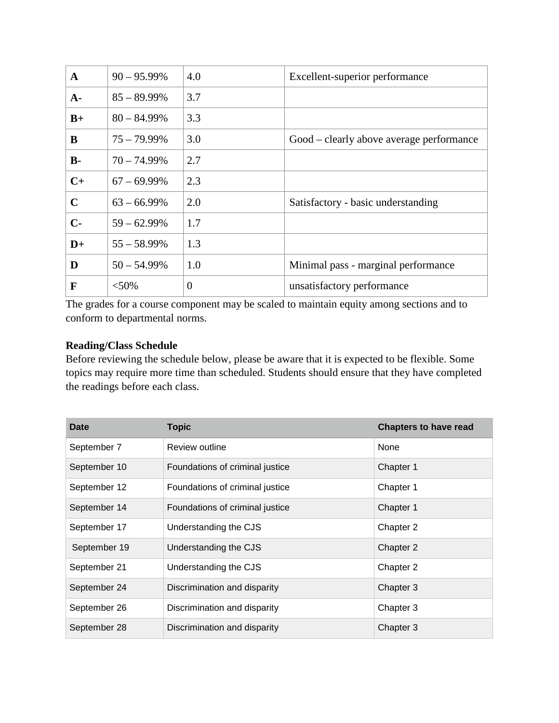| A              | $90 - 95.99\%$ | 4.0            | Excellent-superior performance           |
|----------------|----------------|----------------|------------------------------------------|
| $A-$           | $85 - 89.99\%$ | 3.7            |                                          |
| $B+$           | $80 - 84.99\%$ | 3.3            |                                          |
| B              | $75 - 79.99\%$ | 3.0            | Good – clearly above average performance |
| $\mathbf{B}$ - | $70 - 74.99\%$ | 2.7            |                                          |
| $C+$           | $67 - 69.99\%$ | 2.3            |                                          |
| $\mathbf C$    | $63 - 66.99\%$ | 2.0            | Satisfactory - basic understanding       |
| $C-$           | $59 - 62.99\%$ | 1.7            |                                          |
| $D+$           | $55 - 58.99\%$ | 1.3            |                                          |
| D              | $50 - 54.99\%$ | 1.0            | Minimal pass - marginal performance      |
| F              | $< 50\%$       | $\overline{0}$ | unsatisfactory performance               |

The grades for a course component may be scaled to maintain equity among sections and to conform to departmental norms.

## **Reading/Class Schedule**

Before reviewing the schedule below, please be aware that it is expected to be flexible. Some topics may require more time than scheduled. Students should ensure that they have completed the readings before each class.

| Date         | <b>Topic</b>                    | <b>Chapters to have read</b> |
|--------------|---------------------------------|------------------------------|
| September 7  | Review outline                  | None                         |
| September 10 | Foundations of criminal justice | Chapter 1                    |
| September 12 | Foundations of criminal justice | Chapter 1                    |
| September 14 | Foundations of criminal justice | Chapter 1                    |
| September 17 | Understanding the CJS           | Chapter 2                    |
| September 19 | Understanding the CJS           | Chapter 2                    |
| September 21 | Understanding the CJS           | Chapter 2                    |
| September 24 | Discrimination and disparity    | Chapter 3                    |
| September 26 | Discrimination and disparity    | Chapter 3                    |
| September 28 | Discrimination and disparity    | Chapter 3                    |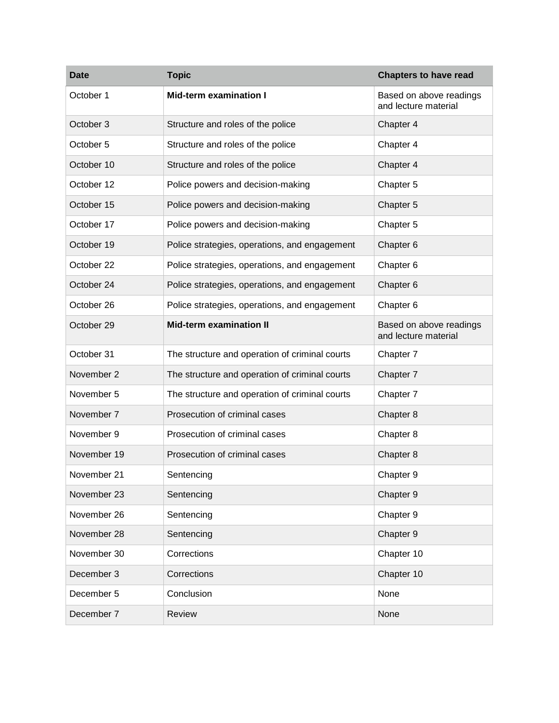| <b>Date</b> | <b>Topic</b>                                   | <b>Chapters to have read</b>                    |
|-------------|------------------------------------------------|-------------------------------------------------|
| October 1   | <b>Mid-term examination I</b>                  | Based on above readings<br>and lecture material |
| October 3   | Structure and roles of the police              | Chapter 4                                       |
| October 5   | Structure and roles of the police              | Chapter 4                                       |
| October 10  | Structure and roles of the police              | Chapter 4                                       |
| October 12  | Police powers and decision-making              | Chapter 5                                       |
| October 15  | Police powers and decision-making              | Chapter 5                                       |
| October 17  | Police powers and decision-making              | Chapter 5                                       |
| October 19  | Police strategies, operations, and engagement  | Chapter 6                                       |
| October 22  | Police strategies, operations, and engagement  | Chapter 6                                       |
| October 24  | Police strategies, operations, and engagement  | Chapter 6                                       |
| October 26  | Police strategies, operations, and engagement  | Chapter 6                                       |
| October 29  | <b>Mid-term examination II</b>                 | Based on above readings<br>and lecture material |
| October 31  | The structure and operation of criminal courts | Chapter 7                                       |
| November 2  | The structure and operation of criminal courts | Chapter 7                                       |
| November 5  | The structure and operation of criminal courts | Chapter 7                                       |
| November 7  | Prosecution of criminal cases                  | Chapter 8                                       |
| November 9  | Prosecution of criminal cases                  | Chapter 8                                       |
| November 19 | Prosecution of criminal cases                  | Chapter 8                                       |
| November 21 | Sentencing                                     | Chapter 9                                       |
| November 23 | Sentencing                                     | Chapter 9                                       |
| November 26 | Sentencing                                     | Chapter 9                                       |
| November 28 | Sentencing                                     | Chapter 9                                       |
| November 30 | Corrections                                    | Chapter 10                                      |
| December 3  | Corrections                                    | Chapter 10                                      |
| December 5  | Conclusion                                     | None                                            |
| December 7  | Review                                         | None                                            |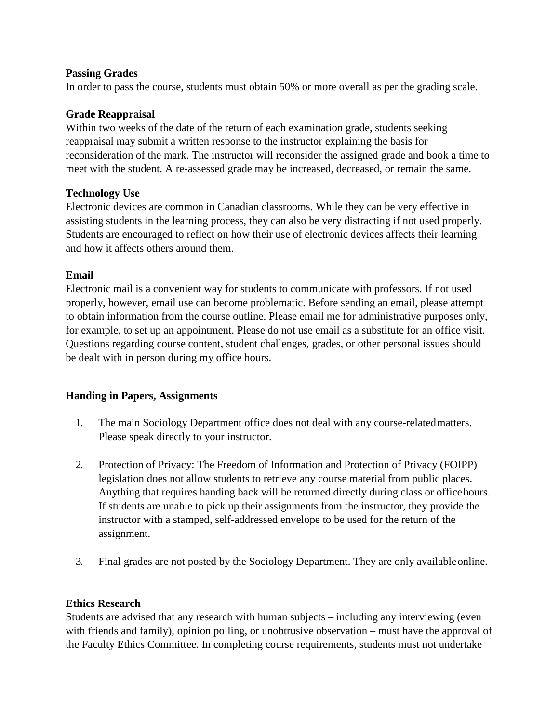### **Passing Grades**

In order to pass the course, students must obtain 50% or more overall as per the grading scale.

#### **Grade Reappraisal**

Within two weeks of the date of the return of each examination grade, students seeking reappraisal may submit a written response to the instructor explaining the basis for reconsideration of the mark. The instructor will reconsider the assigned grade and book a time to meet with the student. A re-assessed grade may be increased, decreased, or remain the same.

#### **Technology Use**

Electronic devices are common in Canadian classrooms. While they can be very effective in assisting students in the learning process, they can also be very distracting if not used properly. Students are encouraged to reflect on how their use of electronic devices affects their learning and how it affects others around them.

#### **Email**

Electronic mail is a convenient way for students to communicate with professors. If not used properly, however, email use can become problematic. Before sending an email, please attempt to obtain information from the course outline. Please email me for administrative purposes only, for example, to set up an appointment. Please do not use email as a substitute for an office visit. Questions regarding course content, student challenges, grades, or other personal issues should be dealt with in person during my office hours.

## **Handing in Papers, Assignments**

- 1. The main Sociology Department office does not deal with any course-relatedmatters. Please speak directly to your instructor.
- 2. Protection of Privacy: The Freedom of Information and Protection of Privacy (FOIPP) legislation does not allow students to retrieve any course material from public places. Anything that requires handing back will be returned directly during class or officehours. If students are unable to pick up their assignments from the instructor, they provide the instructor with a stamped, self-addressed envelope to be used for the return of the assignment.
- 3. Final grades are not posted by the Sociology Department. They are only availableonline.

## **Ethics Research**

Students are advised that any research with human subjects – including any interviewing (even with friends and family), opinion polling, or unobtrusive observation – must have the approval of the Faculty Ethics Committee. In completing course requirements, students must not undertake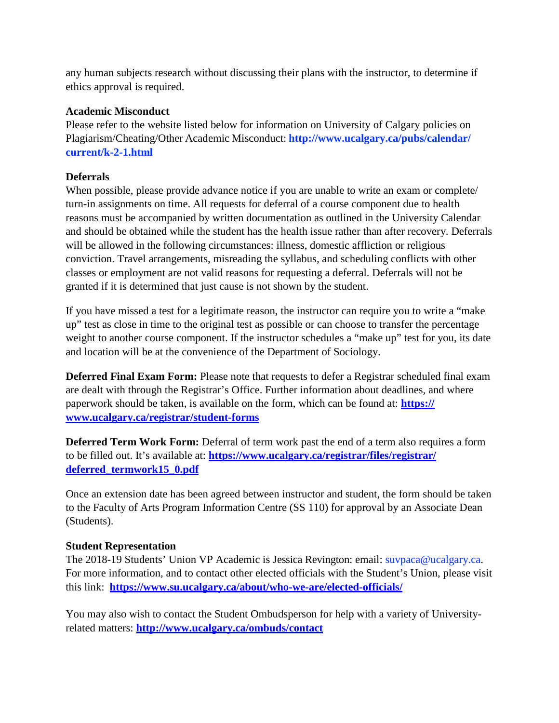any human subjects research without discussing their plans with the instructor, to determine if ethics approval is required.

## **Academic Misconduct**

Please refer to the website listed below for information on University of Calgary policies on Plagiarism/Cheating/Other Academic Misconduct: **<http://www.ucalgary.ca/pubs/calendar/> current/k-2-1.html**

### **Deferrals**

When possible, please provide advance notice if you are unable to write an exam or complete/ turn-in assignments on time. All requests for deferral of a course component due to health reasons must be accompanied by written documentation as outlined in the University Calendar and should be obtained while the student has the health issue rather than after recovery. Deferrals will be allowed in the following circumstances: illness, domestic affliction or religious conviction. Travel arrangements, misreading the syllabus, and scheduling conflicts with other classes or employment are not valid reasons for requesting a deferral. Deferrals will not be granted if it is determined that just cause is not shown by the student.

If you have missed a test for a legitimate reason, the instructor can require you to write a "make up" test as close in time to the original test as possible or can choose to transfer the percentage weight to another course component. If the instructor schedules a "make up" test for you, its date and location will be at the convenience of the Department of Sociology.

**Deferred Final Exam Form:** Please note that requests to defer a Registrar scheduled final exam are dealt with through the Registrar's Office. Further information about deadlines, and where paperwork should be taken, is available on the form, which can be found at: **https:// [www.ucalgary.ca/registrar/student-forms](http://www.ucalgary.ca/registrar/student-forms)**

**Deferred Term Work Form:** Deferral of term work past the end of a term also requires a form to be filled out. It's available at: **https:/[/www.ucalgary.ca/registrar/files/registrar/](http://www.ucalgary.ca/registrar/files/registrar/) deferred\_termwork15\_0.pdf**

Once an extension date has been agreed between instructor and student, the form should be taken to the Faculty of Arts Program Information Centre (SS 110) for approval by an Associate Dean (Students).

#### **Student Representation**

The 2018-19 Students' Union VP Academic is Jessica Revington: email: [suvpaca@ucalgary.ca.](mailto:suvpaca@ucalgary.ca) For more information, and to contact other elected officials with the Student's Union, please visit this link: **https:/[/www.su.ucalgary.ca/about/who-we-are/elected-officials/](http://www.su.ucalgary.ca/about/who-we-are/elected-officials/)**

You may also wish to contact the Student Ombudsperson for help with a variety of Universityrelated matters: **<http://www.ucalgary.ca/ombuds/contact>**